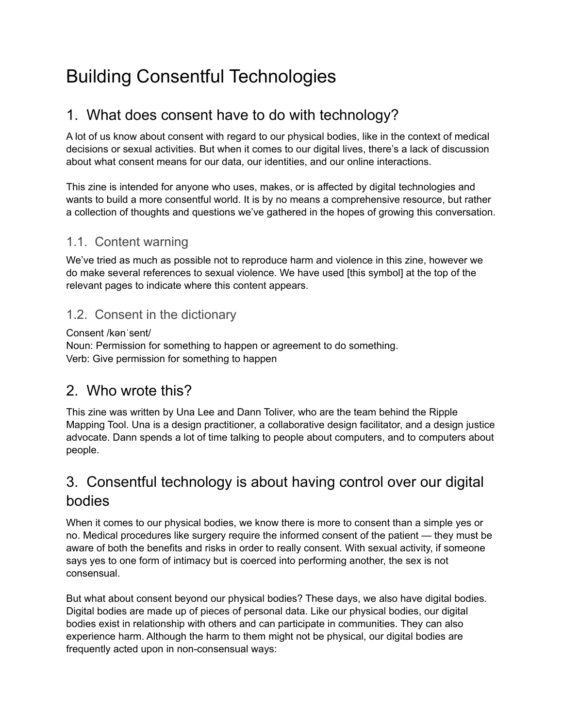# Building Consentful Technologies

### 1. What does consent have to do with technology?

A lot of us know about consent with regard to our physical bodies, like in the context of medical decisions or sexual activities. But when it comes to our digital lives, there's a lack of discussion about what consent means for our data, our identities, and our online interactions.

This zine is intended for anyone who uses, makes, or is affected by digital technologies and wants to build a more consentful world. It is by no means a comprehensive resource, but rather a collection of thoughts and questions we've gathered in the hopes of growing this conversation.

### 1.1. Content warning

We've tried as much as possible not to reproduce harm and violence in this zine, however we do make several references to sexual violence. We have used [this symbol] at the top of the relevant pages to indicate where this content appears.

#### 1.2. Consent in the dictionary

#### Consent /kənˈsent/

Noun: Permission for something to happen or agreement to do something. Verb: Give permission for something to happen

### 2. Who wrote this?

This zine was written by Una Lee and Dann Toliver, who are the team behind the Ripple Mapping Tool. Una is a design practitioner, a collaborative design facilitator, and a design justice advocate. Dann spends a lot of time talking to people about computers, and to computers about people.

### 3. Consentful technology is about having control over our digital bodies

When it comes to our physical bodies, we know there is more to consent than a simple yes or no. Medical procedures like surgery require the informed consent of the patient — they must be aware of both the benefits and risks in order to really consent. With sexual activity, if someone says yes to one form of intimacy but is coerced into performing another, the sex is not consensual.

But what about consent beyond our physical bodies? These days, we also have digital bodies. Digital bodies are made up of pieces of personal data. Like our physical bodies, our digital bodies exist in relationship with others and can participate in communities. They can also experience harm. Although the harm to them might not be physical, our digital bodies are frequently acted upon in non-consensual ways: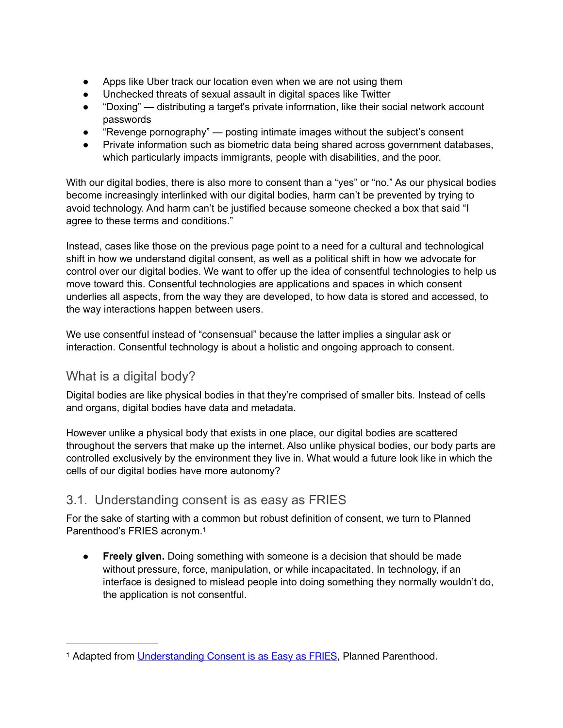- Apps like Uber track our location even when we are not using them
- Unchecked threats of sexual assault in digital spaces like Twitter
- "Doxing" distributing a target's private information, like their social network account passwords
- "Revenge pornography" posting intimate images without the subject's consent
- Private information such as biometric data being shared across government databases, which particularly impacts immigrants, people with disabilities, and the poor.

With our digital bodies, there is also more to consent than a "yes" or "no." As our physical bodies become increasingly interlinked with our digital bodies, harm can't be prevented by trying to avoid technology. And harm can't be justified because someone checked a box that said "I agree to these terms and conditions."

Instead, cases like those on the previous page point to a need for a cultural and technological shift in how we understand digital consent, as well as a political shift in how we advocate for control over our digital bodies. We want to offer up the idea of consentful technologies to help us move toward this. Consentful technologies are applications and spaces in which consent underlies all aspects, from the way they are developed, to how data is stored and accessed, to the way interactions happen between users.

We use consentful instead of "consensual" because the latter implies a singular ask or interaction. Consentful technology is about a holistic and ongoing approach to consent.

### What is a digital body?

Digital bodies are like physical bodies in that they're comprised of smaller bits. Instead of cells and organs, digital bodies have data and metadata.

However unlike a physical body that exists in one place, our digital bodies are scattered throughout the servers that make up the internet. Also unlike physical bodies, our body parts are controlled exclusively by the environment they live in. What would a future look like in which the cells of our digital bodies have more autonomy?

### 3.1. Understanding consent is as easy as FRIES

For the sake of starting with a common but robust definition of consent, we turn to Planned Parenthood's FRIES acronym[.1](#page-1-0)

<span id="page-1-1"></span>● **Freely given.** Doing something with someone is a decision that should be made without pressure, force, manipulation, or while incapacitated. In technology, if an interface is designed to mislead people into doing something they normally wouldn't do, the application is not consentful.

<span id="page-1-0"></span><sup>&</sup>lt;sup>1</sup> Adapted from [Understanding Consent is as Easy as FRIES,](http://plannedparenthood.tumblr.com/post/148506806862/understanding-consent-is-as-easy-as-fries-consent) Planned Parenthood.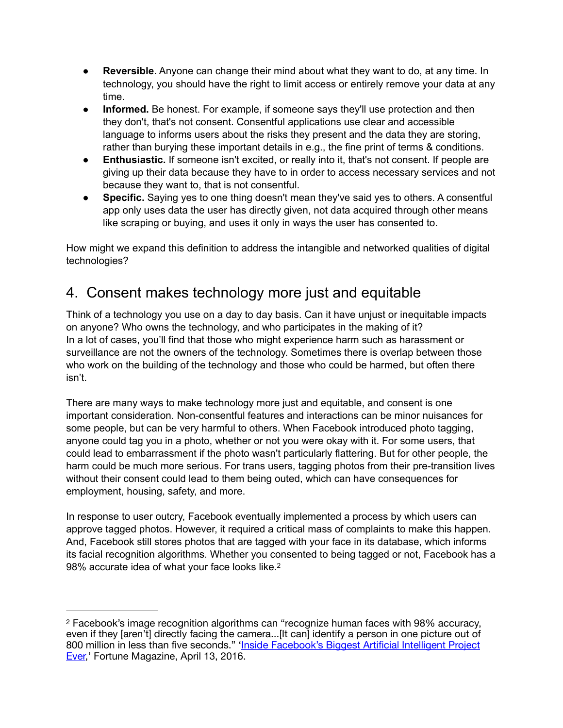- **Reversible.** Anyone can change their mind about what they want to do, at any time. In technology, you should have the right to limit access or entirely remove your data at any time.
- **Informed.** Be honest. For example, if someone says they'll use protection and then they don't, that's not consent. Consentful applications use clear and accessible language to informs users about the risks they present and the data they are storing, rather than burying these important details in e.g., the fine print of terms & conditions.
- **Enthusiastic.** If someone isn't excited, or really into it, that's not consent. If people are giving up their data because they have to in order to access necessary services and not because they want to, that is not consentful.
- **Specific.** Saying yes to one thing doesn't mean they've said yes to others. A consentful app only uses data the user has directly given, not data acquired through other means like scraping or buying, and uses it only in ways the user has consented to.

How might we expand this definition to address the intangible and networked qualities of digital technologies?

# 4. Consent makes technology more just and equitable

Think of a technology you use on a day to day basis. Can it have unjust or inequitable impacts on anyone? Who owns the technology, and who participates in the making of it? In a lot of cases, you'll find that those who might experience harm such as harassment or surveillance are not the owners of the technology. Sometimes there is overlap between those who work on the building of the technology and those who could be harmed, but often there isn't.

There are many ways to make technology more just and equitable, and consent is one important consideration. Non-consentful features and interactions can be minor nuisances for some people, but can be very harmful to others. When Facebook introduced photo tagging, anyone could tag you in a photo, whether or not you were okay with it. For some users, that could lead to embarrassment if the photo wasn't particularly flattering. But for other people, the harm could be much more serious. For trans users, tagging photos from their pre-transition lives without their consent could lead to them being outed, which can have consequences for employment, housing, safety, and more.

<span id="page-2-1"></span>In response to user outcry, Facebook eventually implemented a process by which users can approve tagged photos. However, it required a critical mass of complaints to make this happen. And, Facebook still stores photos that are tagged with your face in its database, which informs its facial recognition algorithms. Whether you consented to being tagged or not, Facebook has a 98% accurate idea of what your face looks like[.2](#page-2-0)

<span id="page-2-0"></span>Facebook's image recognition algorithms can "recognize human faces with 98% accuracy, [2](#page-2-1) even if they [aren't] directly facing the camera...[It can] identify a person in one picture out of 800 million in less than five seconds." 'Inside Facebook's Biggest Artificial Intelligent Project [Ever,](http://fortune.com/facebook-machine-learning/)' Fortune Magazine, April 13, 2016.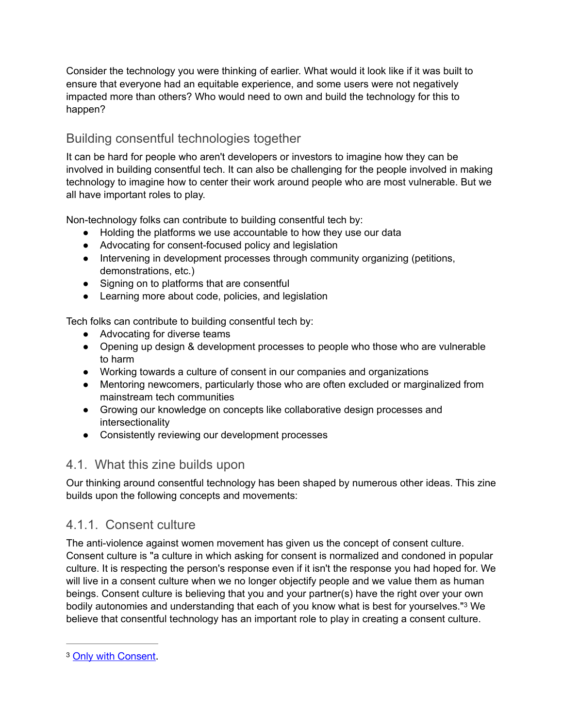Consider the technology you were thinking of earlier. What would it look like if it was built to ensure that everyone had an equitable experience, and some users were not negatively impacted more than others? Who would need to own and build the technology for this to happen?

### Building consentful technologies together

It can be hard for people who aren't developers or investors to imagine how they can be involved in building consentful tech. It can also be challenging for the people involved in making technology to imagine how to center their work around people who are most vulnerable. But we all have important roles to play.

Non-technology folks can contribute to building consentful tech by:

- Holding the platforms we use accountable to how they use our data
- Advocating for consent-focused policy and legislation
- Intervening in development processes through community organizing (petitions, demonstrations, etc.)
- Signing on to platforms that are consentful
- Learning more about code, policies, and legislation

Tech folks can contribute to building consentful tech by:

- Advocating for diverse teams
- Opening up design & development processes to people who those who are vulnerable to harm
- Working towards a culture of consent in our companies and organizations
- Mentoring newcomers, particularly those who are often excluded or marginalized from mainstream tech communities
- Growing our knowledge on concepts like collaborative design processes and intersectionality
- Consistently reviewing our development processes

### 4.1. What this zine builds upon

Our thinking around consentful technology has been shaped by numerous other ideas. This zine builds upon the following concepts and movements:

### 4.1.1. Consent culture

The anti-violence against women movement has given us the concept of consent culture. Consent culture is "a culture in which asking for consent is normalized and condoned in popular culture. It is respecting the person's response even if it isn't the response you had hoped for. We will live in a consent culture when we no longer objectify people and we value them as human beings. Consent culture is believing that you and your partner(s) have the right over your own bodilyautonomies and understanding that each of you know what is best for yourselves."<sup>[3](#page-3-0)</sup> We believe that consentful technology has an important role to play in creating a consent culture.

<span id="page-3-1"></span><span id="page-3-0"></span><sup>&</sup>lt;sup>3</sup> [Only with Consent](https://web.archive.org/web/20170107063438/http://onlywithconsent.org/blog/consent-culture).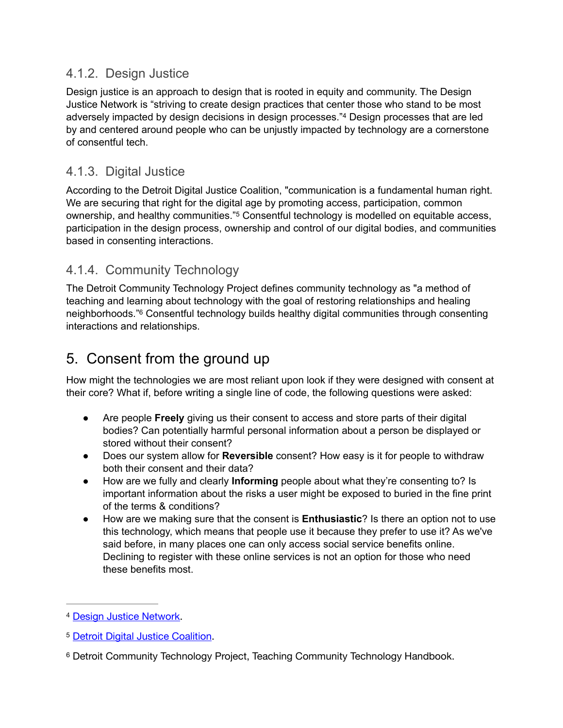#### 4.1.2. Design Justice

<span id="page-4-3"></span>Design justice is an approach to design that is rooted in equity and community. The Design Justice Network is "striving to create design practices that center those who stand to be most adverselyimpacted by design decisions in design processes.<sup>"[4](#page-4-0)</sup> Design processes that are led by and centered around people who can be unjustly impacted by technology are a cornerstone of consentful tech.

### 4.1.3. Digital Justice

<span id="page-4-4"></span>According to the Detroit Digital Justice Coalition, "communication is a fundamental human right. We are securing that right for the digital age by promoting access, participation, common ownership,and healthy communities."<sup>[5](#page-4-1)</sup> Consentful technology is modelled on equitable access, participation in the design process, ownership and control of our digital bodies, and communities based in consenting interactions.

### 4.1.4. Community Technology

<span id="page-4-5"></span>The Detroit Community Technology Project defines community technology as "a method of teaching and learning about technology with the goal of restoring relationships and healing neighborhoods."<sup>6</sup>Consentful technology builds healthy digital communities through consenting interactions and relationships.

## 5. Consent from the ground up

How might the technologies we are most reliant upon look if they were designed with consent at their core? What if, before writing a single line of code, the following questions were asked:

- Are people **Freely** giving us their consent to access and store parts of their digital bodies? Can potentially harmful personal information about a person be displayed or stored without their consent?
- Does our system allow for **Reversible** consent? How easy is it for people to withdraw both their consent and their data?
- How are we fully and clearly **Informing** people about what they're consenting to? Is important information about the risks a user might be exposed to buried in the fine print of the terms & conditions?
- How are we making sure that the consent is **Enthusiastic**? Is there an option not to use this technology, which means that people use it because they prefer to use it? As we've said before, in many places one can only access social service benefits online. Declining to register with these online services is not an option for those who need these benefits most.

<span id="page-4-0"></span><sup>&</sup>lt;sup>4</sup> [Design Justice Network.](https://designjustice.org/)

<span id="page-4-1"></span><sup>&</sup>lt;sup>5</sup> [Detroit Digital Justice Coalition](http://detroitdjc.org/about/story/).

<span id="page-4-2"></span><sup>&</sup>lt;sup>[6](#page-4-5)</sup> Detroit Community Technology Project, Teaching Community Technology Handbook.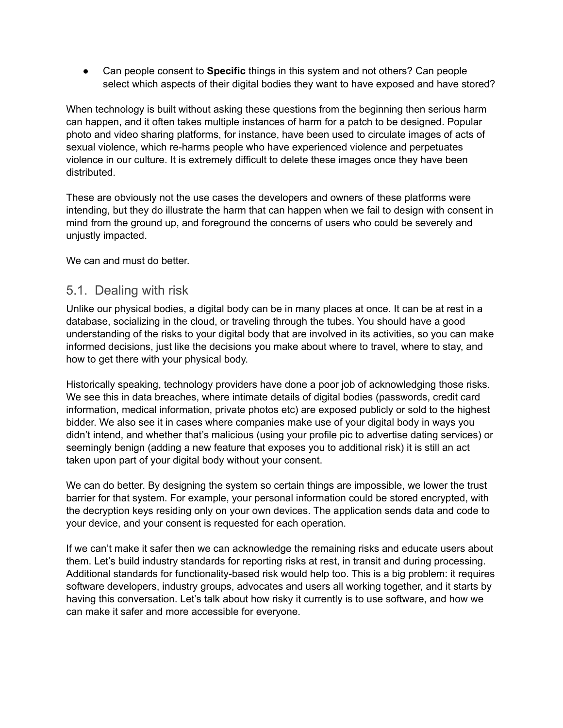Can people consent to **Specific** things in this system and not others? Can people select which aspects of their digital bodies they want to have exposed and have stored?

When technology is built without asking these questions from the beginning then serious harm can happen, and it often takes multiple instances of harm for a patch to be designed. Popular photo and video sharing platforms, for instance, have been used to circulate images of acts of sexual violence, which re-harms people who have experienced violence and perpetuates violence in our culture. It is extremely difficult to delete these images once they have been distributed.

These are obviously not the use cases the developers and owners of these platforms were intending, but they do illustrate the harm that can happen when we fail to design with consent in mind from the ground up, and foreground the concerns of users who could be severely and unjustly impacted.

We can and must do better.

#### 5.1. Dealing with risk

Unlike our physical bodies, a digital body can be in many places at once. It can be at rest in a database, socializing in the cloud, or traveling through the tubes. You should have a good understanding of the risks to your digital body that are involved in its activities, so you can make informed decisions, just like the decisions you make about where to travel, where to stay, and how to get there with your physical body.

Historically speaking, technology providers have done a poor job of acknowledging those risks. We see this in data breaches, where intimate details of digital bodies (passwords, credit card information, medical information, private photos etc) are exposed publicly or sold to the highest bidder. We also see it in cases where companies make use of your digital body in ways you didn't intend, and whether that's malicious (using your profile pic to advertise dating services) or seemingly benign (adding a new feature that exposes you to additional risk) it is still an act taken upon part of your digital body without your consent.

We can do better. By designing the system so certain things are impossible, we lower the trust barrier for that system. For example, your personal information could be stored encrypted, with the decryption keys residing only on your own devices. The application sends data and code to your device, and your consent is requested for each operation.

If we can't make it safer then we can acknowledge the remaining risks and educate users about them. Let's build industry standards for reporting risks at rest, in transit and during processing. Additional standards for functionality-based risk would help too. This is a big problem: it requires software developers, industry groups, advocates and users all working together, and it starts by having this conversation. Let's talk about how risky it currently is to use software, and how we can make it safer and more accessible for everyone.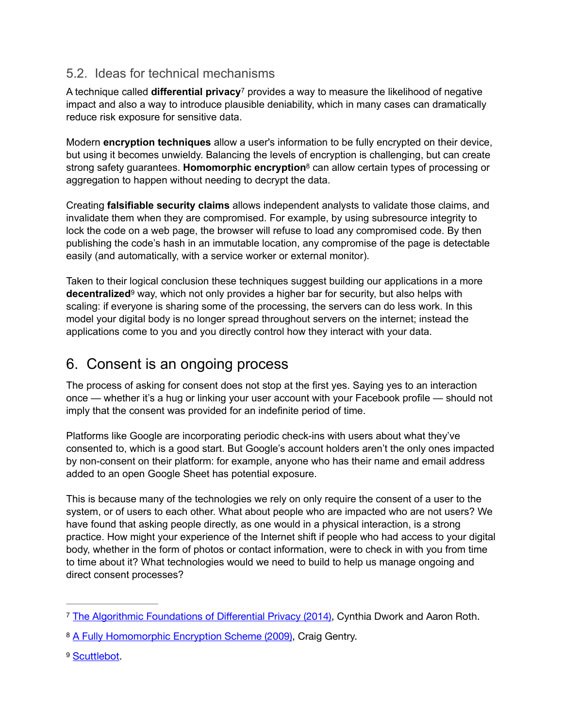### 5.2. Ideas for technical mechanisms

<span id="page-6-3"></span>A technique called **differential privacy**<sup>[7](#page-6-0)</sup> provides a way to measure the likelihood of negative impact and also a way to introduce plausible deniability, which in many cases can dramatically reduce risk exposure for sensitive data.

<span id="page-6-4"></span>Modern **encryption techniques** allow a user's information to be fully encrypted on their device, but using it becomes unwieldy. Balancing the levels of encryption is challenging, but can create strong safety guarantees. **Homomorphic encryption**<sup>[8](#page-6-1)</sup> can allow certain types of processing or aggregation to happen without needing to decrypt the data.

Creating **falsifiable security claims** allows independent analysts to validate those claims, and invalidate them when they are compromised. For example, by using subresource integrity to lock the code on a web page, the browser will refuse to load any compromised code. By then publishing the code's hash in an immutable location, any compromise of the page is detectable easily (and automatically, with a service worker or external monitor).

<span id="page-6-5"></span>Taken to their logical conclusion these techniques suggest building our applications in a more **decentralized** way, which not only provides a higher bar for security, but also helps with scaling: if everyone is sharing some of the processing, the servers can do less work. In this model your digital body is no longer spread throughout servers on the internet; instead the applications come to you and you directly control how they interact with your data.

## 6. Consent is an ongoing process

The process of asking for consent does not stop at the first yes. Saying yes to an interaction once — whether it's a hug or linking your user account with your Facebook profile — should not imply that the consent was provided for an indefinite period of time.

Platforms like Google are incorporating periodic check-ins with users about what they've consented to, which is a good start. But Google's account holders aren't the only ones impacted by non-consent on their platform: for example, anyone who has their name and email address added to an open Google Sheet has potential exposure.

This is because many of the technologies we rely on only require the consent of a user to the system, or of users to each other. What about people who are impacted who are not users? We have found that asking people directly, as one would in a physical interaction, is a strong practice. How might your experience of the Internet shift if people who had access to your digital body, whether in the form of photos or contact information, were to check in with you from time to time about it? What technologies would we need to build to help us manage ongoing and direct consent processes?

<span id="page-6-0"></span><sup>&</sup>lt;sup>7</sup> [The Algorithmic Foundations of Di](https://www.cis.upenn.edu/~aaroth/Papers/privacybook.pdf)fferential Privacy (2014), Cynthia Dwork and Aaron Roth.

<span id="page-6-1"></span><sup>&</sup>lt;sup>8</sup> [A Fully Homomorphic Encryption Scheme \(2009\),](https://crypto.stanford.edu/craig/craig-thesis.pdf) Craig Gentry.

<span id="page-6-2"></span><sup>&</sup>lt;sup>9</sup> [Scuttlebot.](https://scuttlebot.io/)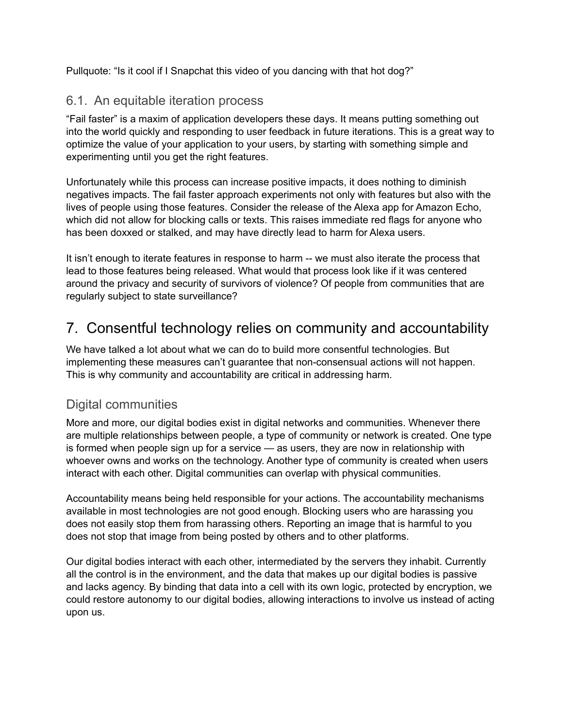Pullquote: "Is it cool if I Snapchat this video of you dancing with that hot dog?"

#### 6.1. An equitable iteration process

"Fail faster" is a maxim of application developers these days. It means putting something out into the world quickly and responding to user feedback in future iterations. This is a great way to optimize the value of your application to your users, by starting with something simple and experimenting until you get the right features.

Unfortunately while this process can increase positive impacts, it does nothing to diminish negatives impacts. The fail faster approach experiments not only with features but also with the lives of people using those features. Consider the release of the Alexa app for Amazon Echo, which did not allow for blocking calls or texts. This raises immediate red flags for anyone who has been doxxed or stalked, and may have directly lead to harm for Alexa users.

It isn't enough to iterate features in response to harm -- we must also iterate the process that lead to those features being released. What would that process look like if it was centered around the privacy and security of survivors of violence? Of people from communities that are regularly subject to state surveillance?

## 7. Consentful technology relies on community and accountability

We have talked a lot about what we can do to build more consentful technologies. But implementing these measures can't guarantee that non-consensual actions will not happen. This is why community and accountability are critical in addressing harm.

### Digital communities

More and more, our digital bodies exist in digital networks and communities. Whenever there are multiple relationships between people, a type of community or network is created. One type is formed when people sign up for a service — as users, they are now in relationship with whoever owns and works on the technology. Another type of community is created when users interact with each other. Digital communities can overlap with physical communities.

Accountability means being held responsible for your actions. The accountability mechanisms available in most technologies are not good enough. Blocking users who are harassing you does not easily stop them from harassing others. Reporting an image that is harmful to you does not stop that image from being posted by others and to other platforms.

Our digital bodies interact with each other, intermediated by the servers they inhabit. Currently all the control is in the environment, and the data that makes up our digital bodies is passive and lacks agency. By binding that data into a cell with its own logic, protected by encryption, we could restore autonomy to our digital bodies, allowing interactions to involve us instead of acting upon us.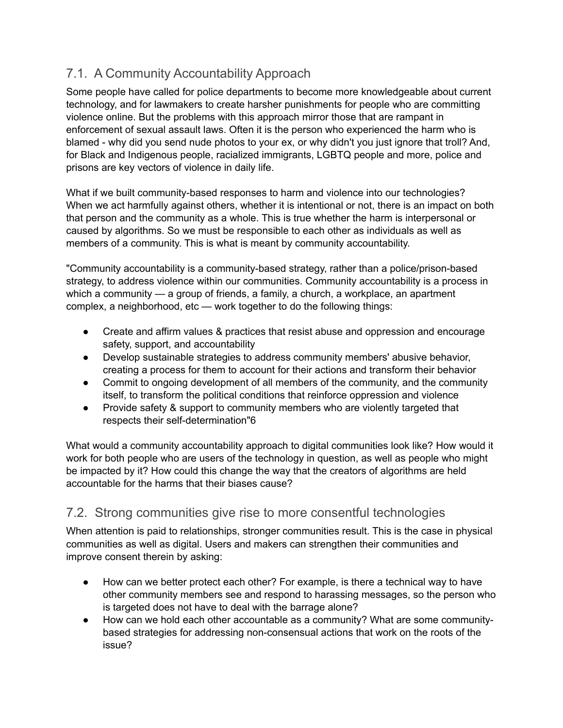### 7.1. A Community Accountability Approach

Some people have called for police departments to become more knowledgeable about current technology, and for lawmakers to create harsher punishments for people who are committing violence online. But the problems with this approach mirror those that are rampant in enforcement of sexual assault laws. Often it is the person who experienced the harm who is blamed - why did you send nude photos to your ex, or why didn't you just ignore that troll? And, for Black and Indigenous people, racialized immigrants, LGBTQ people and more, police and prisons are key vectors of violence in daily life.

What if we built community-based responses to harm and violence into our technologies? When we act harmfully against others, whether it is intentional or not, there is an impact on both that person and the community as a whole. This is true whether the harm is interpersonal or caused by algorithms. So we must be responsible to each other as individuals as well as members of a community. This is what is meant by community accountability.

"Community accountability is a community-based strategy, rather than a police/prison-based strategy, to address violence within our communities. Community accountability is a process in which a community — a group of friends, a family, a church, a workplace, an apartment complex, a neighborhood, etc — work together to do the following things:

- Create and affirm values & practices that resist abuse and oppression and encourage safety, support, and accountability
- Develop sustainable strategies to address community members' abusive behavior, creating a process for them to account for their actions and transform their behavior
- Commit to ongoing development of all members of the community, and the community itself, to transform the political conditions that reinforce oppression and violence
- Provide safety & support to community members who are violently targeted that respects their self-determination"6

What would a community accountability approach to digital communities look like? How would it work for both people who are users of the technology in question, as well as people who might be impacted by it? How could this change the way that the creators of algorithms are held accountable for the harms that their biases cause?

#### 7.2. Strong communities give rise to more consentful technologies

When attention is paid to relationships, stronger communities result. This is the case in physical communities as well as digital. Users and makers can strengthen their communities and improve consent therein by asking:

- How can we better protect each other? For example, is there a technical way to have other community members see and respond to harassing messages, so the person who is targeted does not have to deal with the barrage alone?
- How can we hold each other accountable as a community? What are some communitybased strategies for addressing non-consensual actions that work on the roots of the issue?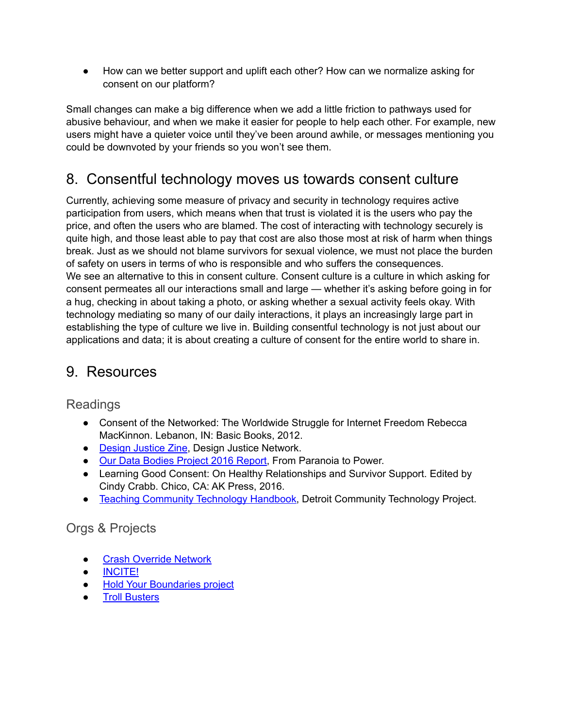● How can we better support and uplift each other? How can we normalize asking for consent on our platform?

Small changes can make a big difference when we add a little friction to pathways used for abusive behaviour, and when we make it easier for people to help each other. For example, new users might have a quieter voice until they've been around awhile, or messages mentioning you could be downvoted by your friends so you won't see them.

### 8. Consentful technology moves us towards consent culture

Currently, achieving some measure of privacy and security in technology requires active participation from users, which means when that trust is violated it is the users who pay the price, and often the users who are blamed. The cost of interacting with technology securely is quite high, and those least able to pay that cost are also those most at risk of harm when things break. Just as we should not blame survivors for sexual violence, we must not place the burden of safety on users in terms of who is responsible and who suffers the consequences. We see an alternative to this in consent culture. Consent culture is a culture in which asking for consent permeates all our interactions small and large — whether it's asking before going in for a hug, checking in about taking a photo, or asking whether a sexual activity feels okay. With technology mediating so many of our daily interactions, it plays an increasingly large part in establishing the type of culture we live in. Building consentful technology is not just about our applications and data; it is about creating a culture of consent for the entire world to share in.

### 9. Resources

Readings

- Consent of the Networked: The Worldwide Struggle for Internet Freedom Rebecca MacKinnon. Lebanon, IN: Basic Books, 2012.
- **[Design Justice Zine,](http://designjusticenetwork.org/zine) Design Justice Network.**
- [Our Data Bodies Project 2016 Report](https://www.odbproject.org/wp-content/uploads/2016/12/ODBCommunity-Report-7-24.pdf), From Paranoia to Power.
- Learning Good Consent: On Healthy Relationships and Survivor Support. Edited by Cindy Crabb. Chico, CA: AK Press, 2016.
- [Teaching Community Technology Handbook](https://detroitcommunitytech.org/teachcommtech), Detroit Community Technology Project.

### Orgs & Projects

- **[Crash Override Network](http://www.crashoverridenetwork.com/)**
- [INCITE!](https://incite-national.org/)
- [Hold Your Boundaries project](https://web.archive.org/web/20180825141347/http://holdyourboundaries.com/)
- **[Troll Busters](https://web.archive.org/web/20220207153956/http://www.troll-busters.com/)**